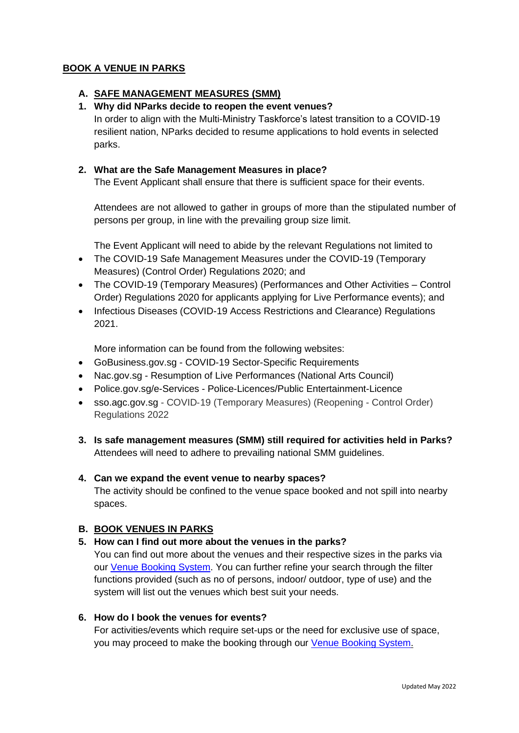## **BOOK A VENUE IN PARKS**

### **A. SAFE MANAGEMENT MEASURES (SMM)**

## **1. Why did NParks decide to reopen the event venues?**

In order to align with the Multi-Ministry Taskforce's latest transition to a COVID-19 resilient nation, NParks decided to resume applications to hold events in selected parks.

### **2. What are the Safe Management Measures in place?**

The Event Applicant shall ensure that there is sufficient space for their events.

Attendees are not allowed to gather in groups of more than the stipulated number of persons per group, in line with the prevailing group size limit.

The Event Applicant will need to abide by the relevant Regulations not limited to

- The COVID-19 Safe Management Measures under the COVID-19 (Temporary Measures) (Control Order) Regulations 2020; and
- The COVID-19 (Temporary Measures) (Performances and Other Activities Control Order) Regulations 2020 for applicants applying for Live Performance events); and
- Infectious Diseases (COVID-19 Access Restrictions and Clearance) Regulations 2021.

More information can be found from the following websites:

- GoBusiness.gov.sg COVID-19 Sector-Specific Requirements
- Nac.gov.sg Resumption of Live Performances (National Arts Council)
- Police.gov.sg/e-Services Police-Licences/Public Entertainment-Licence
- sso.agc.gov.sg COVID-19 (Temporary Measures) (Reopening Control Order) Regulations 2022
- **3. Is safe management measures (SMM) still required for activities held in Parks?** Attendees will need to adhere to prevailing national SMM guidelines.

### **4. Can we expand the event venue to nearby spaces?**

The activity should be confined to the venue space booked and not spill into nearby spaces.

### **B. BOOK VENUES IN PARKS**

### **5. How can I find out more about the venues in the parks?**

You can find out more about the venues and their respective sizes in the parks via our [Venue Booking System.](https://www2.nparks.gov.sg/vbs/) You can further refine your search through the filter functions provided (such as no of persons, indoor/ outdoor, type of use) and the system will list out the venues which best suit your needs.

## **6. How do I book the venues for events?**

For activities/events which require set-ups or the need for exclusive use of space, you may proceed to make the booking through our [Venue Booking System.](https://www2.nparks.gov.sg/vbs/)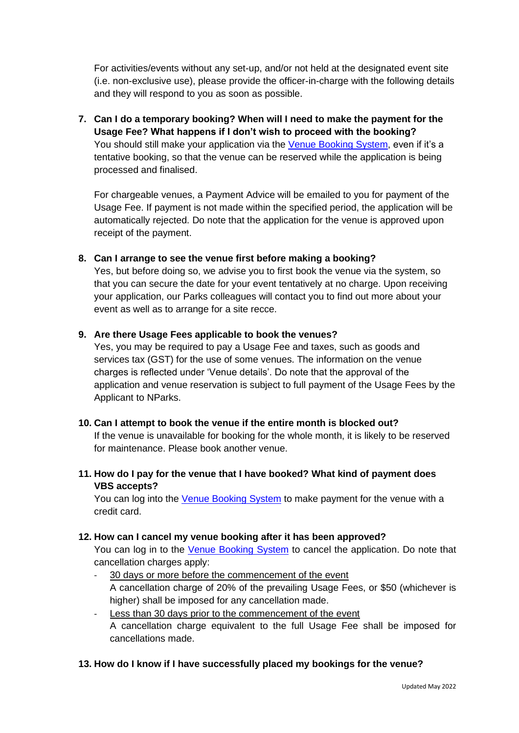For activities/events without any set-up, and/or not held at the designated event site (i.e. non-exclusive use), please provide the officer-in-charge with the following details and they will respond to you as soon as possible.

**7. Can I do a temporary booking? When will I need to make the payment for the Usage Fee? What happens if I don't wish to proceed with the booking?** You should still make your application via the [Venue Booking System,](https://www2.nparks.gov.sg/vbs/) even if it's a tentative booking, so that the venue can be reserved while the application is being processed and finalised.

For chargeable venues, a Payment Advice will be emailed to you for payment of the Usage Fee. If payment is not made within the specified period, the application will be automatically rejected. Do note that the application for the venue is approved upon receipt of the payment.

## **8. Can I arrange to see the venue first before making a booking?**

Yes, but before doing so, we advise you to first book the venue via the system, so that you can secure the date for your event tentatively at no charge. Upon receiving your application, our Parks colleagues will contact you to find out more about your event as well as to arrange for a site recce.

### **9. Are there Usage Fees applicable to book the venues?**

Yes, you may be required to pay a Usage Fee and taxes, such as goods and services tax (GST) for the use of some venues. The information on the venue charges is reflected under 'Venue details'. Do note that the approval of the application and venue reservation is subject to full payment of the Usage Fees by the Applicant to NParks.

### **10. Can I attempt to book the venue if the entire month is blocked out?**

If the venue is unavailable for booking for the whole month, it is likely to be reserved for maintenance. Please book another venue.

# **11. How do I pay for the venue that I have booked? What kind of payment does VBS accepts?**

You can log into the [Venue Booking System](https://www2.nparks.gov.sg/vbs/) to make payment for the venue with a credit card.

### **12. How can I cancel my venue booking after it has been approved?**

You can log in to the [Venue Booking System](https://www2.nparks.gov.sg/vbs/) to cancel the application. Do note that cancellation charges apply:

- 30 days or more before the commencement of the event A cancellation charge of 20% of the prevailing Usage Fees, or \$50 (whichever is higher) shall be imposed for any cancellation made.
- Less than 30 days prior to the commencement of the event A cancellation charge equivalent to the full Usage Fee shall be imposed for cancellations made.

# **13. How do I know if I have successfully placed my bookings for the venue?**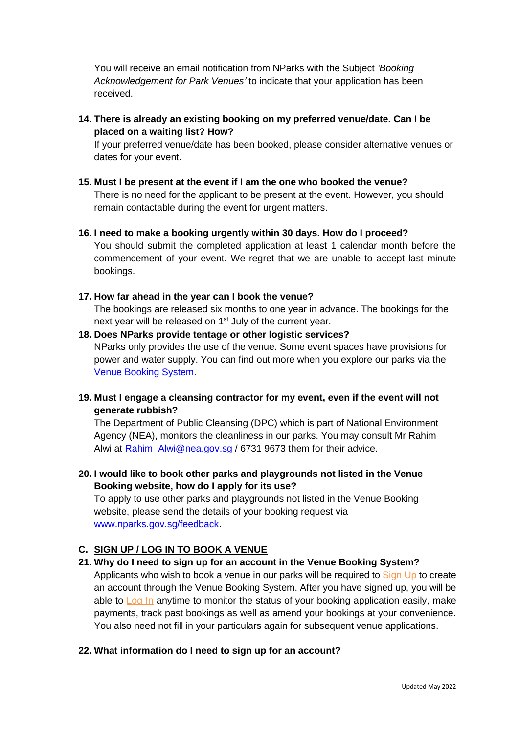You will receive an email notification from NParks with the Subject *'Booking Acknowledgement for Park Venues'* to indicate that your application has been received.

**14. There is already an existing booking on my preferred venue/date. Can I be placed on a waiting list? How?** 

If your preferred venue/date has been booked, please consider alternative venues or dates for your event.

- **15. Must I be present at the event if I am the one who booked the venue?** There is no need for the applicant to be present at the event. However, you should remain contactable during the event for urgent matters.
- **16. I need to make a booking urgently within 30 days. How do I proceed?**  You should submit the completed application at least 1 calendar month before the commencement of your event. We regret that we are unable to accept last minute bookings.
- **17. How far ahead in the year can I book the venue?**

The bookings are released six months to one year in advance. The bookings for the next year will be released on 1<sup>st</sup> July of the current year.

- **18. Does NParks provide tentage or other logistic services?** NParks only provides the use of the venue. Some event spaces have provisions for power and water supply. You can find out more when you explore our parks via the [Venue Booking System.](https://www2.nparks.gov.sg/vbs/)
- **19. Must I engage a cleansing contractor for my event, even if the event will not generate rubbish?**

The Department of Public Cleansing (DPC) which is part of National Environment Agency (NEA), monitors the cleanliness in our parks. You may consult Mr Rahim Alwi at [Rahim\\_Alwi@nea.gov.sg](mailto:Rahim_Alwi@nea.gov.sg) / 6731 9673 them for their advice.

**20. I would like to book other parks and playgrounds not listed in the Venue Booking website, how do I apply for its use?**

To apply to use other parks and playgrounds not listed in the Venue Booking website, please send the details of your booking request via [www.nparks.gov.sg/feedback.](http://www.nparks.gov.sg/feedback)

### **C. SIGN UP / LOG IN TO BOOK A VENUE**

**21. Why do I need to sign up for an account in the Venue Booking System?** 

Applicants who wish to book a venue in our parks will be required to [Sign Up](https://www2.nparks.gov.sg/vbs/) to create an account through the Venue Booking System. After you have signed up, you will be able to [Log In](https://www2.nparks.gov.sg/vbs/) anytime to monitor the status of your booking application easily, make payments, track past bookings as well as amend your bookings at your convenience. You also need not fill in your particulars again for subsequent venue applications.

### **22. What information do I need to sign up for an account?**